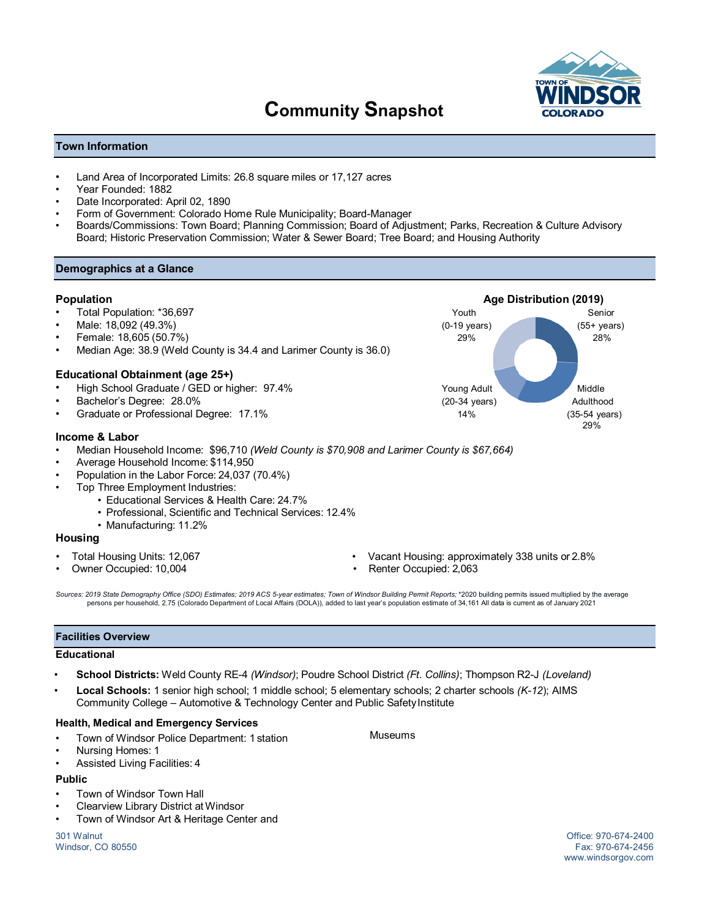# **Community Snapshot**



## **Town Information**

- Land Area of Incorporated Limits: 26.8 square miles or 17,127 acres
- Year Founded: 1882
- Date Incorporated: April 02, 1890
- Form of Government: Colorado Home Rule Municipality; Board-Manager
- Boards/Commissions: Town Board; Planning Commission; Board of Adjustment; Parks, Recreation & Culture Advisory Board; Historic Preservation Commission; Water & Sewer Board; Tree Board; and Housing Authority

### **Demographics at a Glance**

- 
- 
- 
- Median Age: 38.9 (Weld County is 34.4 and Larimer County is 36.0)

#### **Educational Obtainment (age 25+)**

- High School Graduate / GED or higher: 97.4% Young Adult Middle
- 
- Graduate or Professional Degree: 17.1% 14%

#### **Income & Labor**

- Median Household Income: \$96,710 *(Weld County is \$70,908 and Larimer County is \$67,664)*
- Average Household Income: \$114,950
- Population in the Labor Force: 24,037 (70.4%)
- Top Three Employment Industries:
	- Educational Services & Health Care: 24.7%
	- Professional, Scientific and Technical Services: 12.4%
	- Manufacturing: 11.2%

#### **Housing**

- 
- 
- Total Housing Units: 12,067 Vacant Housing: approximately 338 units or 2.8%
- Owner Occupied: 10,004 Renter Occupied: 2,063

*Sources: 2019 State Demography Office (SDO) Estimates; 2019 ACS 5-year estimates; Town of Windsor Building Permit Reports;* \*2020 building permits issued multiplied by the average persons per household, 2.75 (Colorado Department of Local Affairs (DOLA)), added to last year's population estimate of 34,161 All data is current as of January 2021

#### **Facilities Overview**

#### **Educational**

- **School Districts:** Weld County RE-4 *(Windsor)*; Poudre School District *(Ft. Collins)*; Thompson R2-J *(Loveland)*
- **Local Schools:** 1 senior high school; 1 middle school; 5 elementary schools; 2 charter schools *(K-12*); AIMS Community College – Automotive & Technology Center and Public Safety Institute

#### **Health, Medical and Emergency Services**

- Town of Windsor Police Department: 1 station Museums
- Nursing Homes: 1
- Assisted Living Facilities: 4

# **Public**

- Town of Windsor Town Hall
- Clearview Library District at Windsor
- Town of Windsor Art & Heritage Center and

301 Walnut Office: 970-674-2400 Windsor, CO 80550

www.windsorgov.com